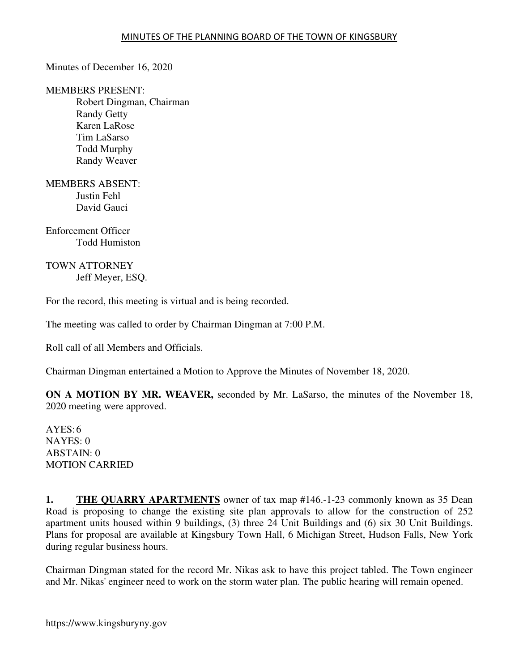Minutes of December 16, 2020

MEMBERS PRESENT: Robert Dingman, Chairman Randy Getty Karen LaRose Tim LaSarso Todd Murphy Randy Weaver

MEMBERS ABSENT: Justin Fehl David Gauci

Enforcement Officer Todd Humiston

TOWN ATTORNEY Jeff Meyer, ESQ.

For the record, this meeting is virtual and is being recorded.

The meeting was called to order by Chairman Dingman at 7:00 P.M.

Roll call of all Members and Officials.

Chairman Dingman entertained a Motion to Approve the Minutes of November 18, 2020.

**ON A MOTION BY MR. WEAVER,** seconded by Mr. LaSarso, the minutes of the November 18, 2020 meeting were approved.

 $AYES:6$ NAYES: 0 ABSTAIN: 0 MOTION CARRIED

**1. THE QUARRY APARTMENTS** owner of tax map #146.-1-23 commonly known as 35 Dean Road is proposing to change the existing site plan approvals to allow for the construction of 252 apartment units housed within 9 buildings, (3) three 24 Unit Buildings and (6) six 30 Unit Buildings. Plans for proposal are available at Kingsbury Town Hall, 6 Michigan Street, Hudson Falls, New York during regular business hours.

Chairman Dingman stated for the record Mr. Nikas ask to have this project tabled. The Town engineer and Mr. Nikas' engineer need to work on the storm water plan. The public hearing will remain opened.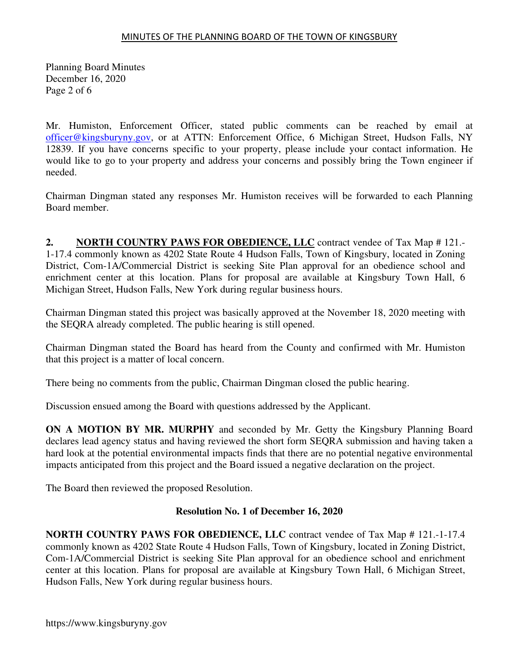Planning Board Minutes December 16, 2020 Page 2 of 6

Mr. Humiston, Enforcement Officer, stated public comments can be reached by email at officer@kingsburyny.gov, or at ATTN: Enforcement Office, 6 Michigan Street, Hudson Falls, NY 12839. If you have concerns specific to your property, please include your contact information. He would like to go to your property and address your concerns and possibly bring the Town engineer if needed.

Chairman Dingman stated any responses Mr. Humiston receives will be forwarded to each Planning Board member.

**2. NORTH COUNTRY PAWS FOR OBEDIENCE, LLC** contract vendee of Tax Map # 121.- 1-17.4 commonly known as 4202 State Route 4 Hudson Falls, Town of Kingsbury, located in Zoning District, Com-1A/Commercial District is seeking Site Plan approval for an obedience school and enrichment center at this location. Plans for proposal are available at Kingsbury Town Hall, 6 Michigan Street, Hudson Falls, New York during regular business hours.

Chairman Dingman stated this project was basically approved at the November 18, 2020 meeting with the SEQRA already completed. The public hearing is still opened.

Chairman Dingman stated the Board has heard from the County and confirmed with Mr. Humiston that this project is a matter of local concern.

There being no comments from the public, Chairman Dingman closed the public hearing.

Discussion ensued among the Board with questions addressed by the Applicant.

**ON A MOTION BY MR. MURPHY** and seconded by Mr. Getty the Kingsbury Planning Board declares lead agency status and having reviewed the short form SEQRA submission and having taken a hard look at the potential environmental impacts finds that there are no potential negative environmental impacts anticipated from this project and the Board issued a negative declaration on the project.

The Board then reviewed the proposed Resolution.

# **Resolution No. 1 of December 16, 2020**

**NORTH COUNTRY PAWS FOR OBEDIENCE, LLC** contract vendee of Tax Map # 121.-1-17.4 commonly known as 4202 State Route 4 Hudson Falls, Town of Kingsbury, located in Zoning District, Com-1A/Commercial District is seeking Site Plan approval for an obedience school and enrichment center at this location. Plans for proposal are available at Kingsbury Town Hall, 6 Michigan Street, Hudson Falls, New York during regular business hours.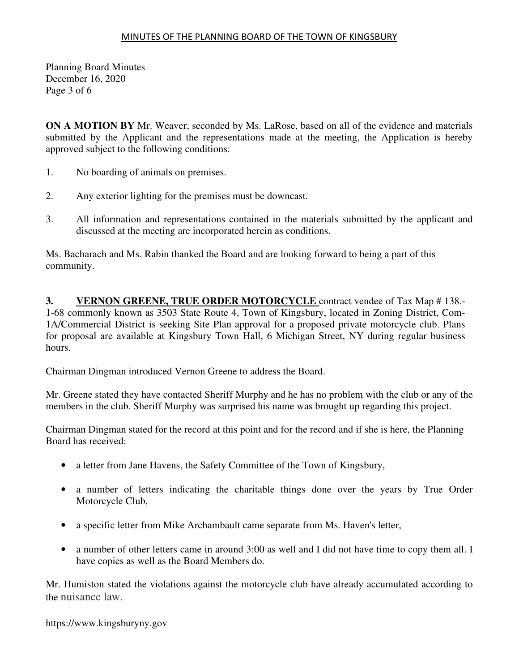Planning Board Minutes December 16, 2020 Page 3 of 6

**ON A MOTION BY** Mr. Weaver, seconded by Ms. LaRose, based on all of the evidence and materials submitted by the Applicant and the representations made at the meeting, the Application is hereby approved subject to the following conditions:

- 1. No boarding of animals on premises.
- 2. Any exterior lighting for the premises must be downcast.
- 3. All information and representations contained in the materials submitted by the applicant and discussed at the meeting are incorporated herein as conditions.

Ms. Bacharach and Ms. Rabin thanked the Board and are looking forward to being a part of this community.

**3. VERNON GREENE, TRUE ORDER MOTORCYCLE** contract vendee of Tax Map # 138.- 1-68 commonly known as 3503 State Route 4, Town of Kingsbury, located in Zoning District, Com-1A/Commercial District is seeking Site Plan approval for a proposed private motorcycle club. Plans for proposal are available at Kingsbury Town Hall, 6 Michigan Street, NY during regular business hours.

Chairman Dingman introduced Vernon Greene to address the Board.

Mr. Greene stated they have contacted Sheriff Murphy and he has no problem with the club or any of the members in the club. Sheriff Murphy was surprised his name was brought up regarding this project.

Chairman Dingman stated for the record at this point and for the record and if she is here, the Planning Board has received:

- a letter from Jane Havens, the Safety Committee of the Town of Kingsbury,
- a number of letters indicating the charitable things done over the years by True Order Motorcycle Club,
- a specific letter from Mike Archambault came separate from Ms. Haven's letter,
- a number of other letters came in around 3:00 as well and I did not have time to copy them all. I have copies as well as the Board Members do.

Mr. Humiston stated the violations against the motorcycle club have already accumulated according to the nuisance law.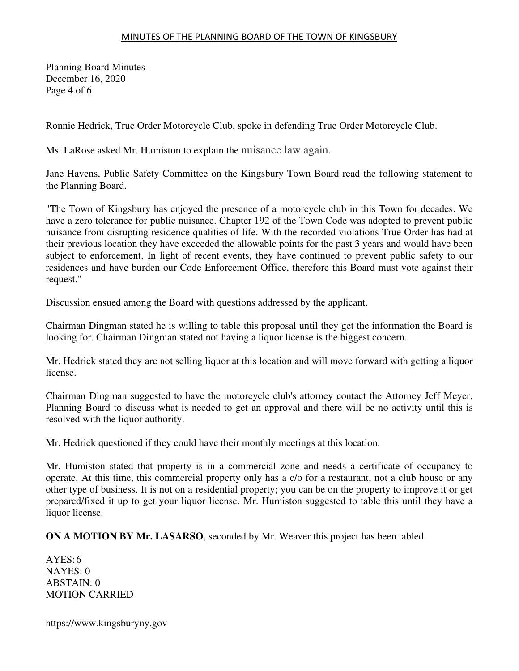Planning Board Minutes December 16, 2020 Page 4 of 6

Ronnie Hedrick, True Order Motorcycle Club, spoke in defending True Order Motorcycle Club.

Ms. LaRose asked Mr. Humiston to explain the nuisance law again.

Jane Havens, Public Safety Committee on the Kingsbury Town Board read the following statement to the Planning Board.

"The Town of Kingsbury has enjoyed the presence of a motorcycle club in this Town for decades. We have a zero tolerance for public nuisance. Chapter 192 of the Town Code was adopted to prevent public nuisance from disrupting residence qualities of life. With the recorded violations True Order has had at their previous location they have exceeded the allowable points for the past 3 years and would have been subject to enforcement. In light of recent events, they have continued to prevent public safety to our residences and have burden our Code Enforcement Office, therefore this Board must vote against their request."

Discussion ensued among the Board with questions addressed by the applicant.

Chairman Dingman stated he is willing to table this proposal until they get the information the Board is looking for. Chairman Dingman stated not having a liquor license is the biggest concern.

Mr. Hedrick stated they are not selling liquor at this location and will move forward with getting a liquor license.

Chairman Dingman suggested to have the motorcycle club's attorney contact the Attorney Jeff Meyer, Planning Board to discuss what is needed to get an approval and there will be no activity until this is resolved with the liquor authority.

Mr. Hedrick questioned if they could have their monthly meetings at this location.

Mr. Humiston stated that property is in a commercial zone and needs a certificate of occupancy to operate. At this time, this commercial property only has a c/o for a restaurant, not a club house or any other type of business. It is not on a residential property; you can be on the property to improve it or get prepared/fixed it up to get your liquor license. Mr. Humiston suggested to table this until they have a liquor license.

**ON A MOTION BY Mr. LASARSO**, seconded by Mr. Weaver this project has been tabled.

 $AYES:6$ NAYES: 0 ABSTAIN: 0 MOTION CARRIED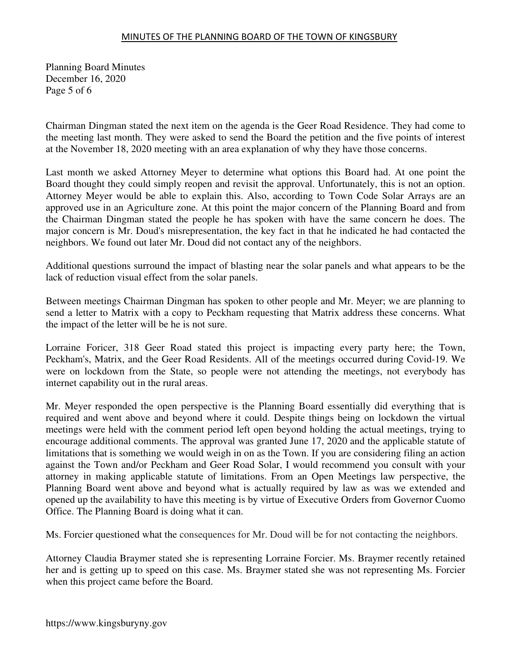Planning Board Minutes December 16, 2020 Page 5 of 6

Chairman Dingman stated the next item on the agenda is the Geer Road Residence. They had come to the meeting last month. They were asked to send the Board the petition and the five points of interest at the November 18, 2020 meeting with an area explanation of why they have those concerns.

Last month we asked Attorney Meyer to determine what options this Board had. At one point the Board thought they could simply reopen and revisit the approval. Unfortunately, this is not an option. Attorney Meyer would be able to explain this. Also, according to Town Code Solar Arrays are an approved use in an Agriculture zone. At this point the major concern of the Planning Board and from the Chairman Dingman stated the people he has spoken with have the same concern he does. The major concern is Mr. Doud's misrepresentation, the key fact in that he indicated he had contacted the neighbors. We found out later Mr. Doud did not contact any of the neighbors.

Additional questions surround the impact of blasting near the solar panels and what appears to be the lack of reduction visual effect from the solar panels.

Between meetings Chairman Dingman has spoken to other people and Mr. Meyer; we are planning to send a letter to Matrix with a copy to Peckham requesting that Matrix address these concerns. What the impact of the letter will be he is not sure.

Lorraine Foricer, 318 Geer Road stated this project is impacting every party here; the Town, Peckham's, Matrix, and the Geer Road Residents. All of the meetings occurred during Covid-19. We were on lockdown from the State, so people were not attending the meetings, not everybody has internet capability out in the rural areas.

Mr. Meyer responded the open perspective is the Planning Board essentially did everything that is required and went above and beyond where it could. Despite things being on lockdown the virtual meetings were held with the comment period left open beyond holding the actual meetings, trying to encourage additional comments. The approval was granted June 17, 2020 and the applicable statute of limitations that is something we would weigh in on as the Town. If you are considering filing an action against the Town and/or Peckham and Geer Road Solar, I would recommend you consult with your attorney in making applicable statute of limitations. From an Open Meetings law perspective, the Planning Board went above and beyond what is actually required by law as was we extended and opened up the availability to have this meeting is by virtue of Executive Orders from Governor Cuomo Office. The Planning Board is doing what it can.

Ms. Forcier questioned what the consequences for Mr. Doud will be for not contacting the neighbors.

Attorney Claudia Braymer stated she is representing Lorraine Forcier. Ms. Braymer recently retained her and is getting up to speed on this case. Ms. Braymer stated she was not representing Ms. Forcier when this project came before the Board.